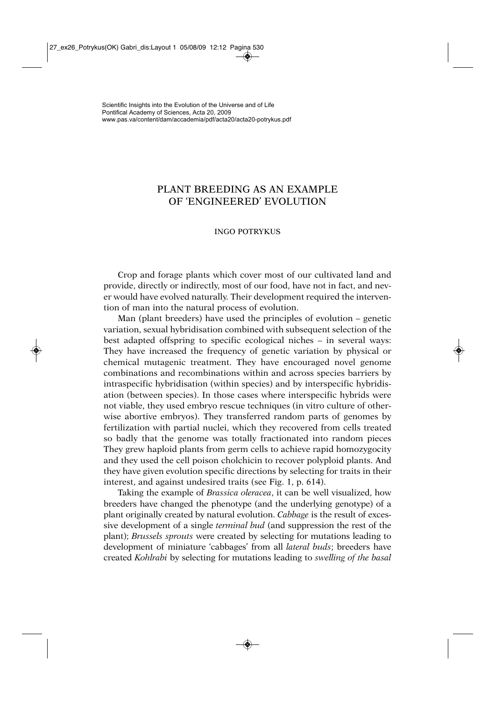## PLANT BREEDING AS AN EXAMPLE OF 'ENGINEERED' EVOLUTION

## INGO POTRYKUS

Crop and forage plants which cover most of our cultivated land and provide, directly or indirectly, most of our food, have not in fact, and never would have evolved naturally. Their development required the intervention of man into the natural process of evolution.

Man (plant breeders) have used the principles of evolution – genetic variation, sexual hybridisation combined with subsequent selection of the best adapted offspring to specific ecological niches – in several ways: They have increased the frequency of genetic variation by physical or chemical mutagenic treatment. They have encouraged novel genome combinations and recombinations within and across species barriers by intraspecific hybridisation (within species) and by interspecific hybridisation (between species). In those cases where interspecific hybrids were not viable, they used embryo rescue techniques (in vitro culture of otherwise abortive embryos). They transferred random parts of genomes by fertilization with partial nuclei, which they recovered from cells treated so badly that the genome was totally fractionated into random pieces They grew haploid plants from germ cells to achieve rapid homozygocity and they used the cell poison cholchicin to recover polyploid plants. And they have given evolution specific directions by selecting for traits in their interest, and against undesired traits (see Fig. 1, p. 614).

Taking the example of *Brassica oleracea*, it can be well visualized, how breeders have changed the phenotype (and the underlying genotype) of a plant originally created by natural evolution. *Cabbage* is the result of excessive development of a single *terminal bud* (and suppression the rest of the plant); *Brussels sprouts* were created by selecting for mutations leading to development of miniature 'cabbages' from all *lateral buds*; breeders have created *Kohlrabi* by selecting for mutations leading to *swelling of the basal*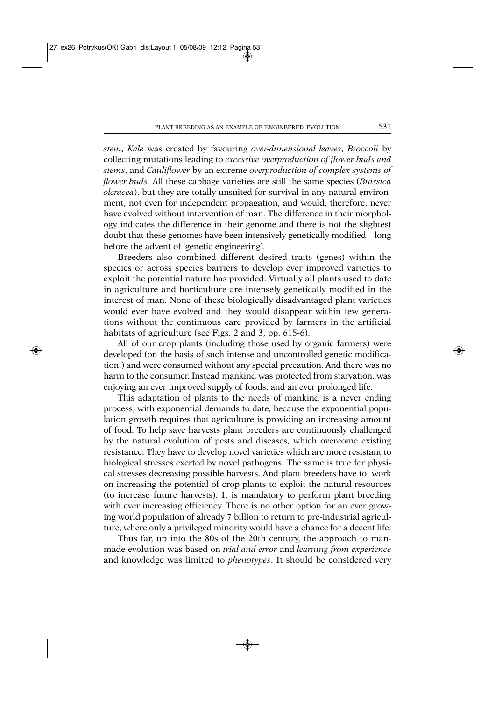*stem*, *Kale* was created by favouring *over-dimensional leaves*, *Broccoli* by collecting mutations leading to *excessive overproduction of flower buds and stems*, and *Cauliflower* by an extreme *overproduction of complex systems of flower buds.* All these cabbage varieties are still the same species (*Brassica oleracea*), but they are totally unsuited for survival in any natural environment, not even for independent propagation, and would, therefore, never have evolved without intervention of man. The difference in their morphology indicates the difference in their genome and there is not the slightest doubt that these genomes have been intensively genetically modified – long before the advent of 'genetic engineering'.

Breeders also combined different desired traits (genes) within the species or across species barriers to develop ever improved varieties to exploit the potential nature has provided. Virtually all plants used to date in agriculture and horticulture are intensely genetically modified in the interest of man. None of these biologically disadvantaged plant varieties would ever have evolved and they would disappear within few generations without the continuous care provided by farmers in the artificial habitats of agriculture (see Figs. 2 and 3, pp. 615-6).

All of our crop plants (including those used by organic farmers) were developed (on the basis of such intense and uncontrolled genetic modification!) and were consumed without any special precaution. And there was no harm to the consumer. Instead mankind was protected from starvation, was enjoying an ever improved supply of foods, and an ever prolonged life.

This adaptation of plants to the needs of mankind is a never ending process, with exponential demands to date, because the exponential population growth requires that agriculture is providing an increasing amount of food. To help save harvests plant breeders are continuously challenged by the natural evolution of pests and diseases, which overcome existing resistance. They have to develop novel varieties which are more resistant to biological stresses exerted by novel pathogens. The same is true for physical stresses decreasing possible harvests. And plant breeders have to work on increasing the potential of crop plants to exploit the natural resources (to increase future harvests). It is mandatory to perform plant breeding with ever increasing efficiency. There is no other option for an ever growing world population of already 7 billion to return to pre-industrial agriculture, where only a privileged minority would have a chance for a decent life.

Thus far, up into the 80s of the 20th century, the approach to manmade evolution was based on *trial and error* and *learning from experience* and knowledge was limited to *phenotypes*. It should be considered very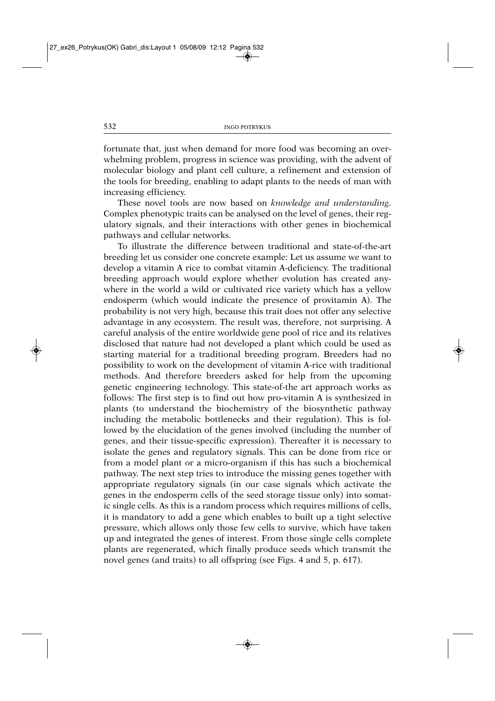fortunate that, just when demand for more food was becoming an overwhelming problem, progress in science was providing, with the advent of molecular biology and plant cell culture, a refinement and extension of the tools for breeding, enabling to adapt plants to the needs of man with increasing efficiency.

These novel tools are now based on *knowledge and understanding*. Complex phenotypic traits can be analysed on the level of genes, their regulatory signals, and their interactions with other genes in biochemical pathways and cellular networks.

To illustrate the difference between traditional and state-of-the-art breeding let us consider one concrete example: Let us assume we want to develop a vitamin A rice to combat vitamin A-deficiency. The traditional breeding approach would explore whether evolution has created anywhere in the world a wild or cultivated rice variety which has a yellow endosperm (which would indicate the presence of provitamin A). The probability is not very high, because this trait does not offer any selective advantage in any ecosystem. The result was, therefore, not surprising. A careful analysis of the entire worldwide gene pool of rice and its relatives disclosed that nature had not developed a plant which could be used as starting material for a traditional breeding program. Breeders had no possibility to work on the development of vitamin A-rice with traditional methods. And therefore breeders asked for help from the upcoming genetic engineering technology. This state-of-the art approach works as follows: The first step is to find out how pro-vitamin A is synthesized in plants (to understand the biochemistry of the biosynthetic pathway including the metabolic bottlenecks and their regulation). This is followed by the elucidation of the genes involved (including the number of genes, and their tissue-specific expression). Thereafter it is necessary to isolate the genes and regulatory signals. This can be done from rice or from a model plant or a micro-organism if this has such a biochemical pathway. The next step tries to introduce the missing genes together with appropriate regulatory signals (in our case signals which activate the genes in the endosperm cells of the seed storage tissue only) into somatic single cells. As this is a random process which requires millions of cells, it is mandatory to add a gene which enables to built up a tight selective pressure, which allows only those few cells to survive, which have taken up and integrated the genes of interest. From those single cells complete plants are regenerated, which finally produce seeds which transmit the novel genes (and traits) to all offspring (see Figs. 4 and 5, p. 617).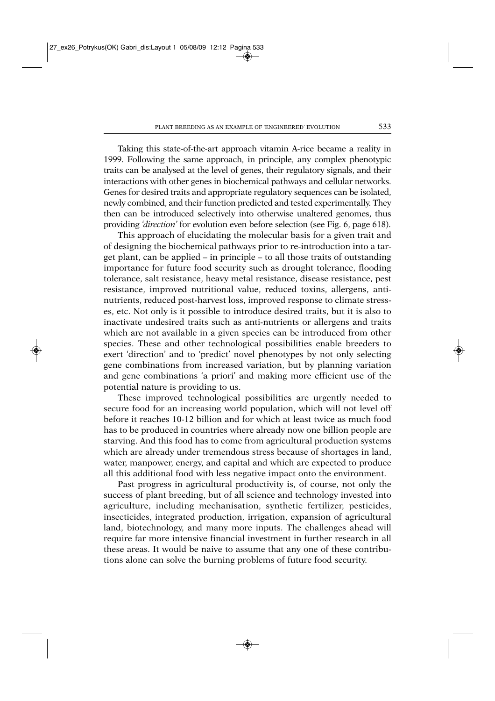Taking this state-of-the-art approach vitamin A-rice became a reality in 1999. Following the same approach, in principle, any complex phenotypic traits can be analysed at the level of genes, their regulatory signals, and their interactions with other genes in biochemical pathways and cellular networks. Genes for desired traits and appropriate regulatory sequences can be isolated, newly combined, and their function predicted and tested experimentally. They then can be introduced selectively into otherwise unaltered genomes, thus providing *'direction'* for evolution even before selection (see Fig. 6, page 618).

This approach of elucidating the molecular basis for a given trait and of designing the biochemical pathways prior to re-introduction into a target plant, can be applied – in principle – to all those traits of outstanding importance for future food security such as drought tolerance, flooding tolerance, salt resistance, heavy metal resistance, disease resistance, pest resistance, improved nutritional value, reduced toxins, allergens, antinutrients, reduced post-harvest loss, improved response to climate stresses, etc. Not only is it possible to introduce desired traits, but it is also to inactivate undesired traits such as anti-nutrients or allergens and traits which are not available in a given species can be introduced from other species. These and other technological possibilities enable breeders to exert 'direction' and to 'predict' novel phenotypes by not only selecting gene combinations from increased variation, but by planning variation and gene combinations 'a priori' and making more efficient use of the potential nature is providing to us.

These improved technological possibilities are urgently needed to secure food for an increasing world population, which will not level off before it reaches 10-12 billion and for which at least twice as much food has to be produced in countries where already now one billion people are starving. And this food has to come from agricultural production systems which are already under tremendous stress because of shortages in land, water, manpower, energy, and capital and which are expected to produce all this additional food with less negative impact onto the environment.

Past progress in agricultural productivity is, of course, not only the success of plant breeding, but of all science and technology invested into agriculture, including mechanisation, synthetic fertilizer, pesticides, insecticides, integrated production, irrigation, expansion of agricultural land, biotechnology, and many more inputs. The challenges ahead will require far more intensive financial investment in further research in all these areas. It would be naive to assume that any one of these contributions alone can solve the burning problems of future food security.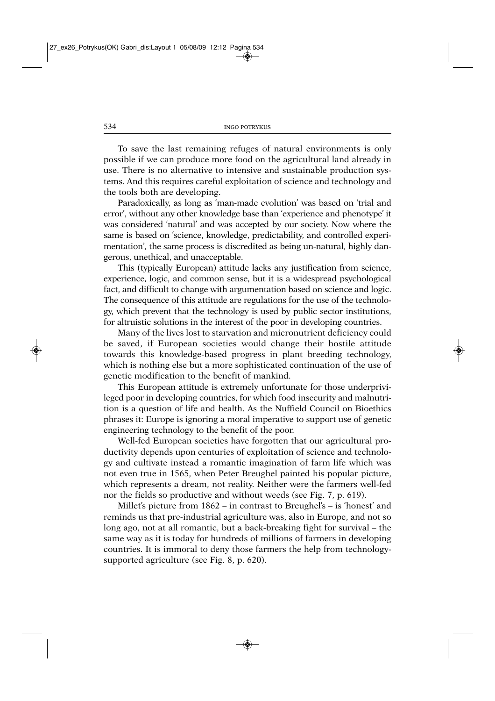To save the last remaining refuges of natural environments is only possible if we can produce more food on the agricultural land already in use. There is no alternative to intensive and sustainable production systems. And this requires careful exploitation of science and technology and the tools both are developing.

Paradoxically, as long as 'man-made evolution' was based on 'trial and error', without any other knowledge base than 'experience and phenotype' it was considered 'natural' and was accepted by our society. Now where the same is based on 'science, knowledge, predictability, and controlled experimentation', the same process is discredited as being un-natural, highly dangerous, unethical, and unacceptable.

This (typically European) attitude lacks any justification from science, experience, logic, and common sense, but it is a widespread psychological fact, and difficult to change with argumentation based on science and logic. The consequence of this attitude are regulations for the use of the technology, which prevent that the technology is used by public sector institutions, for altruistic solutions in the interest of the poor in developing countries.

Many of the lives lost to starvation and micronutrient deficiency could be saved, if European societies would change their hostile attitude towards this knowledge-based progress in plant breeding technology, which is nothing else but a more sophisticated continuation of the use of genetic modification to the benefit of mankind.

This European attitude is extremely unfortunate for those underprivileged poor in developing countries, for which food insecurity and malnutrition is a question of life and health. As the Nuffield Council on Bioethics phrases it: Europe is ignoring a moral imperative to support use of genetic engineering technology to the benefit of the poor.

Well-fed European societies have forgotten that our agricultural productivity depends upon centuries of exploitation of science and technology and cultivate instead a romantic imagination of farm life which was not even true in 1565, when Peter Breughel painted his popular picture, which represents a dream, not reality. Neither were the farmers well-fed nor the fields so productive and without weeds (see Fig. 7, p. 619).

Millet's picture from 1862 – in contrast to Breughel's – is 'honest' and reminds us that pre-industrial agriculture was, also in Europe, and not so long ago, not at all romantic, but a back-breaking fight for survival – the same way as it is today for hundreds of millions of farmers in developing countries. It is immoral to deny those farmers the help from technologysupported agriculture (see Fig. 8, p. 620).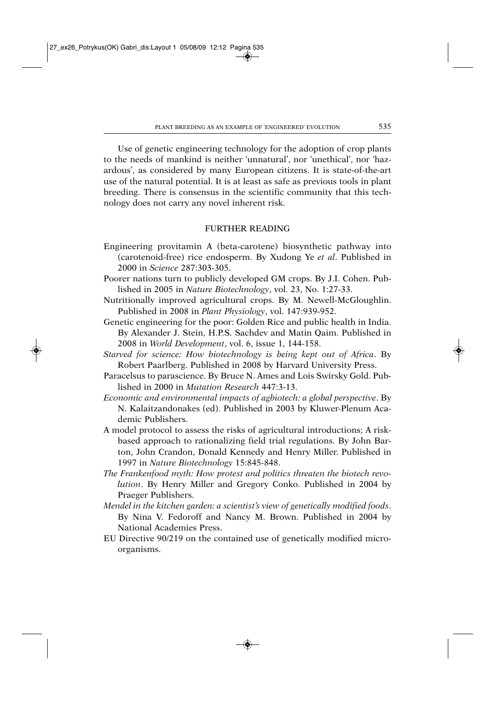Use of genetic engineering technology for the adoption of crop plants to the needs of mankind is neither 'unnatural', nor 'unethical', nor 'hazardous', as considered by many European citizens. It is state-of-the-art use of the natural potential. It is at least as safe as previous tools in plant breeding. There is consensus in the scientific community that this technology does not carry any novel inherent risk.

## FURTHER READING

- Engineering provitamin A (beta-carotene) biosynthetic pathway into (carotenoid-free) rice endosperm. By Xudong Ye *et al*. Published in 2000 in *Science* 287:303-305.
- Poorer nations turn to publicly developed GM crops. By J.I. Cohen. Published in 2005 in *Nature Biotechnology*, vol. 23, No. 1:27-33.
- Nutritionally improved agricultural crops. By M. Newell-McGloughlin. Published in 2008 in *Plant Physiology*, vol. 147:939-952.
- Genetic engineering for the poor: Golden Rice and public health in India. By Alexander J. Stein, H.P.S. Sachdev and Matin Qaim. Published in 2008 in *World Development*, vol. 6, issue 1, 144-158.
- *Starved for science: How biotechnology is being kept out of Africa*. By Robert Paarlberg. Published in 2008 by Harvard University Press.
- Paracelsus to parascience. By Bruce N. Ames and Lois Swirsky Gold. Published in 2000 in *Mutation Research* 447:3-13.
- *Economic and environmental impacts of agbiotech: a global perspective*. By N. Kalaitzandonakes (ed). Published in 2003 by Kluwer-Plenum Academic Publishers.
- A model protocol to assess the risks of agricultural introductions; A riskbased approach to rationalizing field trial regulations. By John Barton, John Crandon, Donald Kennedy and Henry Miller. Published in 1997 in *Nature Biotechnology* 15:845-848.
- *The Frankenfood myth: How protest and politics threaten the biotech revolution*. By Henry Miller and Gregory Conko. Published in 2004 by Praeger Publishers.
- *Mendel in the kitchen garden: a scientist's view of genetically modified foods*. By Nina V. Fedoroff and Nancy M. Brown. Published in 2004 by National Academies Press.
- EU Directive 90/219 on the contained use of genetically modified microorganisms.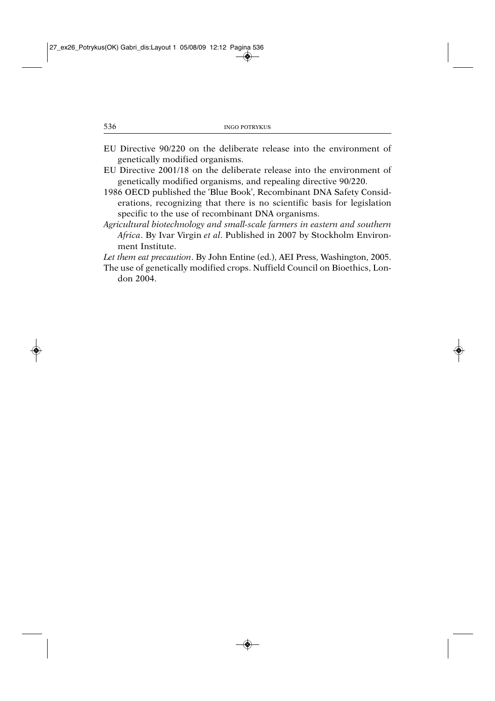- EU Directive 90/220 on the deliberate release into the environment of genetically modified organisms.
- EU Directive 2001/18 on the deliberate release into the environment of genetically modified organisms, and repealing directive 90/220.
- 1986 OECD published the 'Blue Book', Recombinant DNA Safety Considerations, recognizing that there is no scientific basis for legislation specific to the use of recombinant DNA organisms.
- *Agricultural biotechnology and small-scale farmers in eastern and southern Africa*. By Ivar Virgin *et al*. Published in 2007 by Stockholm Environment Institute.

*Let them eat precaution*. By John Entine (ed.), AEI Press, Washington, 2005.

The use of genetically modified crops. Nuffield Council on Bioethics, London 2004.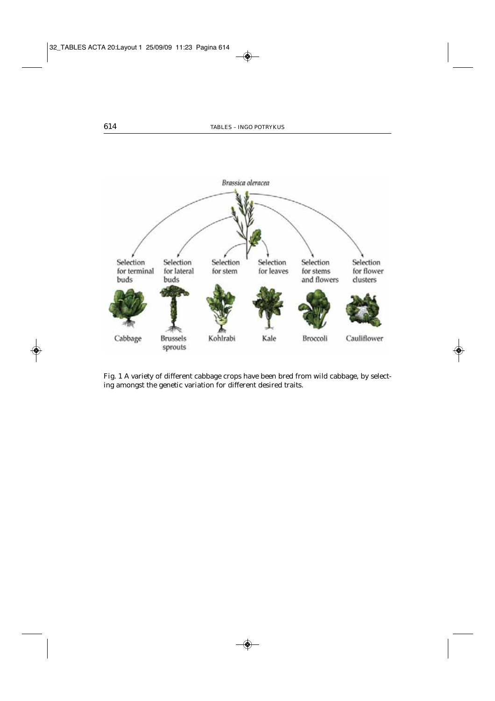

Fig. 1 A variety of different cabbage crops have been bred from wild cabbage, by selecting amongst the genetic variation for different desired traits.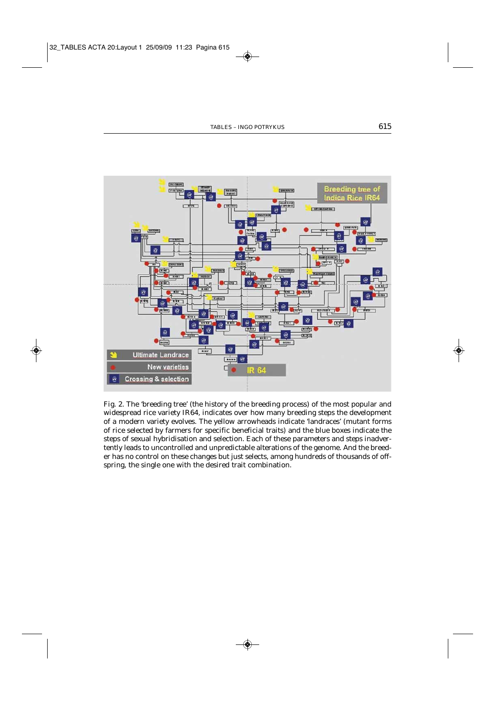

Fig. 2. The 'breeding tree' (the history of the breeding process) of the most popular and widespread rice variety IR64, indicates over how many breeding steps the development of a modern variety evolves. The yellow arrowheads indicate 'landraces' (mutant forms of rice selected by farmers for specific beneficial traits) and the blue boxes indicate the steps of sexual hybridisation and selection. Each of these parameters and steps inadvertently leads to uncontrolled and unpredictable alterations of the genome. And the breeder has no control on these changes but just selects, among hundreds of thousands of offspring, the single one with the desired trait combination.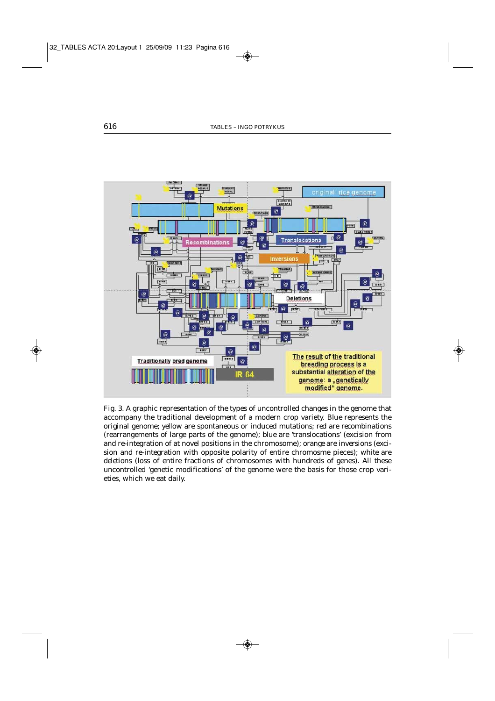

Fig. 3. A graphic representation of the types of uncontrolled changes in the genome that accompany the traditional development of a modern crop variety. *Blue* represents the original genome; *yellow* are spontaneous or induced *mutations*; *red* are *recombinations* (rearrangements of large parts of the genome); *blue* are 'translocations' (excision from and re-integration of at novel positions in the chromosome); *orange* are *inversions* (excision and re-integration with opposite polarity of entire chromosme pieces); *white* are *deletions* (loss of entire fractions of chromosomes with hundreds of genes). All these uncontrolled 'genetic modifications' of the genome were the basis for those crop varieties, which we eat daily.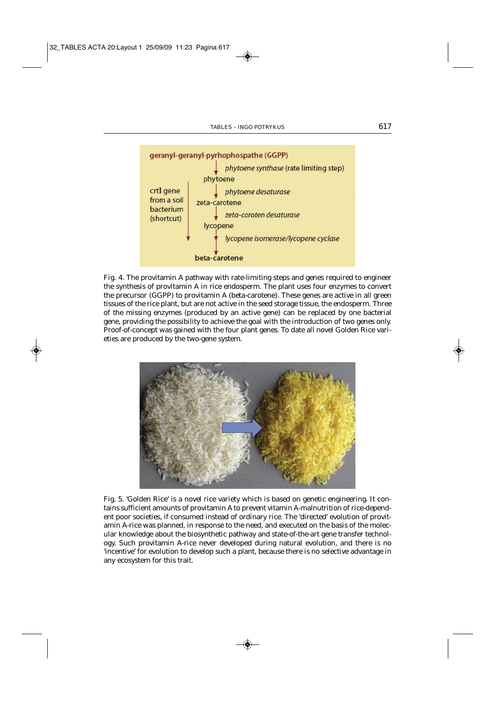

Fig. 4. The provitamin A pathway with rate-limiting steps and genes required to engineer the synthesis of provitamin A in rice endosperm. The plant uses four enzymes to convert the precursor (GGPP) to provitamin A (beta-carotene). These genes are active in all green tissues of the rice plant, but are not active in the seed storage tissue, the endosperm. Three of the missing enzymes (produced by an active gene) can be replaced by one bacterial gene, providing the possibility to achieve the goal with the introduction of two genes only. Proof-of-concept was gained with the four plant genes. To date all novel Golden Rice varieties are produced by the two-gene system.



Fig. 5. 'Golden Rice' is a novel rice variety which is based on genetic engineering. It contains sufficient amounts of provitamin A to prevent vitamin A-malnutrition of rice-dependent poor societies, if consumed instead of ordinary rice. The 'directed' evolution of provitamin A-rice was planned, in response to the need, and executed on the basis of the molecular knowledge about the biosynthetic pathway and state-of-the-art gene transfer technology. Such provitamin A-rice never developed during natural evolution, and there is no 'incentive' for evolution to develop such a plant, because there is no selective advantage in any ecosystem for this trait.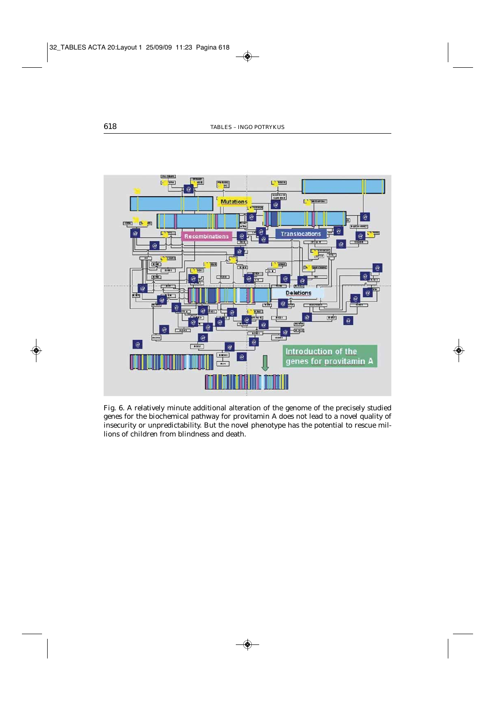

Fig. 6. A relatively minute additional alteration of the genome of the precisely studied genes for the biochemical pathway for provitamin A does not lead to a novel quality of insecurity or unpredictability. But the novel phenotype has the potential to rescue millions of children from blindness and death.